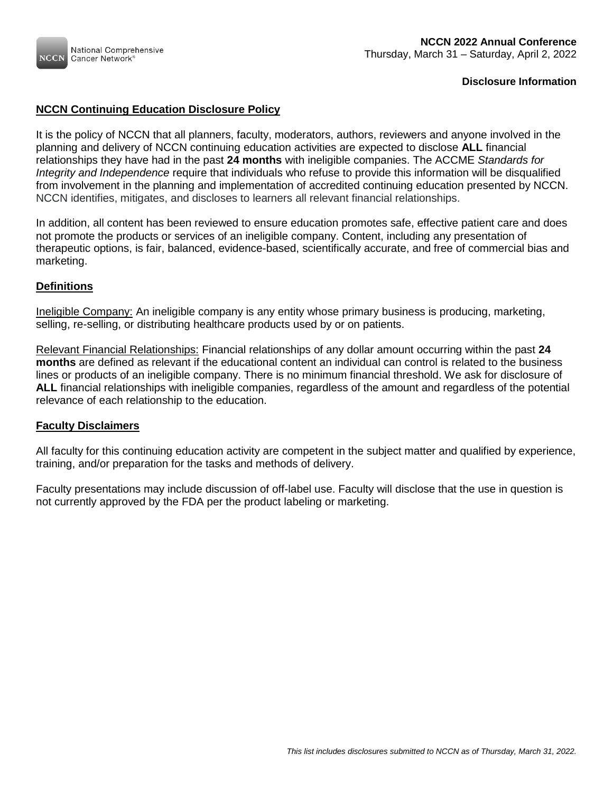

## **NCCN Continuing Education Disclosure Policy**

It is the policy of NCCN that all planners, faculty, moderators, authors, reviewers and anyone involved in the planning and delivery of NCCN continuing education activities are expected to disclose **ALL** financial relationships they have had in the past **24 months** with ineligible companies. The ACCME *Standards for Integrity and Independence* require that individuals who refuse to provide this information will be disqualified from involvement in the planning and implementation of accredited continuing education presented by NCCN. NCCN identifies, mitigates, and discloses to learners all relevant financial relationships.

In addition, all content has been reviewed to ensure education promotes safe, effective patient care and does not promote the products or services of an ineligible company. Content, including any presentation of therapeutic options, is fair, balanced, evidence-based, scientifically accurate, and free of commercial bias and marketing.

### **Definitions**

Ineligible Company: An ineligible company is any entity whose primary business is producing, marketing, selling, re-selling, or distributing healthcare products used by or on patients.

Relevant Financial Relationships: Financial relationships of any dollar amount occurring within the past **24 months** are defined as relevant if the educational content an individual can control is related to the business lines or products of an ineligible company. There is no minimum financial threshold. We ask for disclosure of **ALL** financial relationships with ineligible companies, regardless of the amount and regardless of the potential relevance of each relationship to the education.

### **Faculty Disclaimers**

All faculty for this continuing education activity are competent in the subject matter and qualified by experience, training, and/or preparation for the tasks and methods of delivery.

Faculty presentations may include discussion of off-label use. Faculty will disclose that the use in question is not currently approved by the FDA per the product labeling or marketing.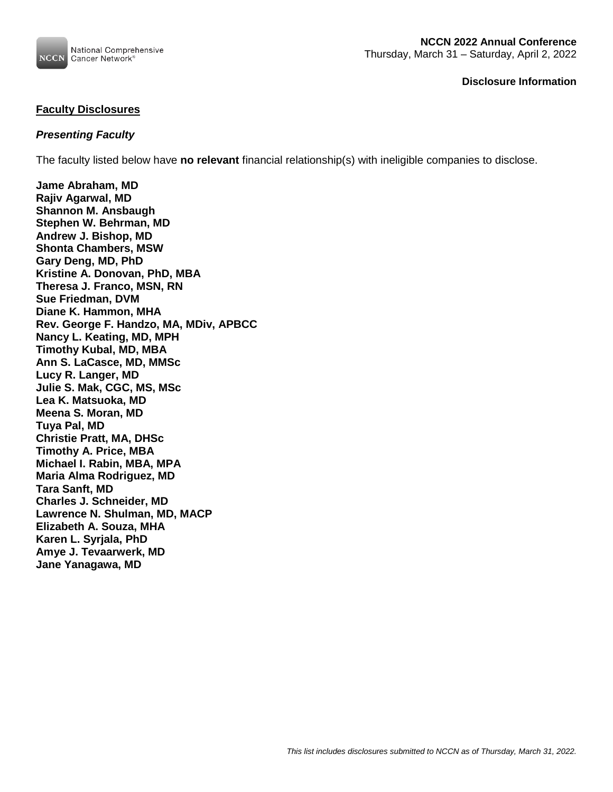

# **Faculty Disclosures**

## *Presenting Faculty*

The faculty listed below have **no relevant** financial relationship(s) with ineligible companies to disclose.

**Jame Abraham, MD Rajiv Agarwal, MD Shannon M. Ansbaugh Stephen W. Behrman, MD Andrew J. Bishop, MD Shonta Chambers, MSW Gary Deng, MD, PhD Kristine A. Donovan, PhD, MBA Theresa J. Franco, MSN, RN Sue Friedman, DVM Diane K. Hammon, MHA Rev. George F. Handzo, MA, MDiv, APBCC Nancy L. Keating, MD, MPH Timothy Kubal, MD, MBA Ann S. LaCasce, MD, MMSc Lucy R. Langer, MD Julie S. Mak, CGC, MS, MSc Lea K. Matsuoka, MD Meena S. Moran, MD Tuya Pal, MD Christie Pratt, MA, DHSc Timothy A. Price, MBA Michael I. Rabin, MBA, MPA Maria Alma Rodriguez, MD Tara Sanft, MD Charles J. Schneider, MD Lawrence N. Shulman, MD, MACP Elizabeth A. Souza, MHA Karen L. Syrjala, PhD Amye J. Tevaarwerk, MD Jane Yanagawa, MD**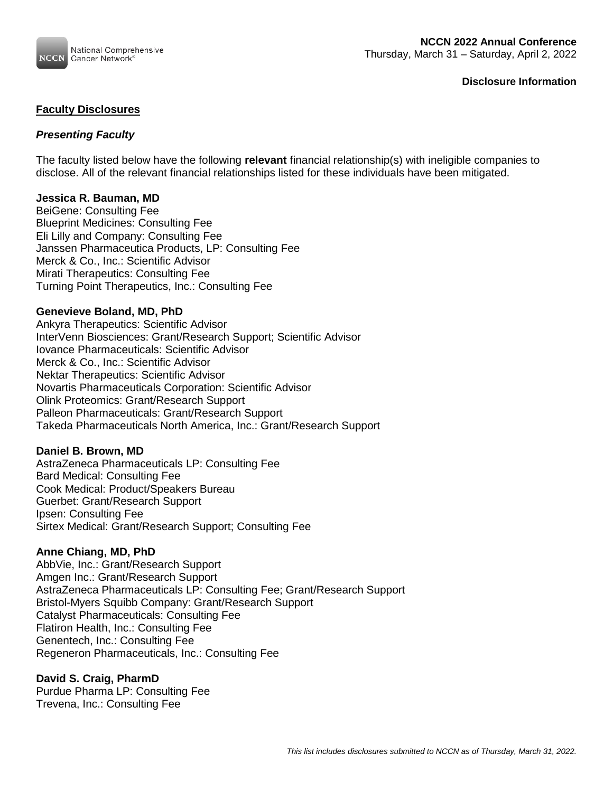

## **Faculty Disclosures**

# *Presenting Faculty*

The faculty listed below have the following **relevant** financial relationship(s) with ineligible companies to disclose. All of the relevant financial relationships listed for these individuals have been mitigated.

## **Jessica R. Bauman, MD**

BeiGene: Consulting Fee Blueprint Medicines: Consulting Fee Eli Lilly and Company: Consulting Fee Janssen Pharmaceutica Products, LP: Consulting Fee Merck & Co., Inc.: Scientific Advisor Mirati Therapeutics: Consulting Fee Turning Point Therapeutics, Inc.: Consulting Fee

### **Genevieve Boland, MD, PhD**

Ankyra Therapeutics: Scientific Advisor InterVenn Biosciences: Grant/Research Support; Scientific Advisor Iovance Pharmaceuticals: Scientific Advisor Merck & Co., Inc.: Scientific Advisor Nektar Therapeutics: Scientific Advisor Novartis Pharmaceuticals Corporation: Scientific Advisor Olink Proteomics: Grant/Research Support Palleon Pharmaceuticals: Grant/Research Support Takeda Pharmaceuticals North America, Inc.: Grant/Research Support

### **Daniel B. Brown, MD**

AstraZeneca Pharmaceuticals LP: Consulting Fee Bard Medical: Consulting Fee Cook Medical: Product/Speakers Bureau Guerbet: Grant/Research Support Ipsen: Consulting Fee Sirtex Medical: Grant/Research Support; Consulting Fee

### **Anne Chiang, MD, PhD**

AbbVie, Inc.: Grant/Research Support Amgen Inc.: Grant/Research Support AstraZeneca Pharmaceuticals LP: Consulting Fee; Grant/Research Support Bristol-Myers Squibb Company: Grant/Research Support Catalyst Pharmaceuticals: Consulting Fee Flatiron Health, Inc.: Consulting Fee Genentech, Inc.: Consulting Fee Regeneron Pharmaceuticals, Inc.: Consulting Fee

### **David S. Craig, PharmD**

Purdue Pharma LP: Consulting Fee Trevena, Inc.: Consulting Fee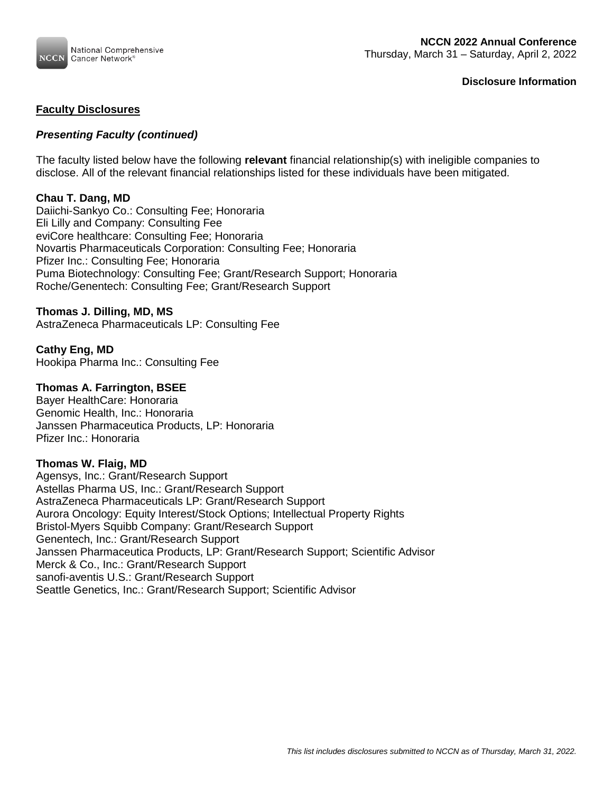

## **Faculty Disclosures**

## *Presenting Faculty (continued)*

The faculty listed below have the following **relevant** financial relationship(s) with ineligible companies to disclose. All of the relevant financial relationships listed for these individuals have been mitigated.

### **Chau T. Dang, MD**

Daiichi-Sankyo Co.: Consulting Fee; Honoraria Eli Lilly and Company: Consulting Fee eviCore healthcare: Consulting Fee; Honoraria Novartis Pharmaceuticals Corporation: Consulting Fee; Honoraria Pfizer Inc.: Consulting Fee; Honoraria Puma Biotechnology: Consulting Fee; Grant/Research Support; Honoraria Roche/Genentech: Consulting Fee; Grant/Research Support

### **Thomas J. Dilling, MD, MS**

AstraZeneca Pharmaceuticals LP: Consulting Fee

### **Cathy Eng, MD**

Hookipa Pharma Inc.: Consulting Fee

### **Thomas A. Farrington, BSEE**

Bayer HealthCare: Honoraria Genomic Health, Inc.: Honoraria Janssen Pharmaceutica Products, LP: Honoraria Pfizer Inc.: Honoraria

### **Thomas W. Flaig, MD**

Agensys, Inc.: Grant/Research Support Astellas Pharma US, Inc.: Grant/Research Support AstraZeneca Pharmaceuticals LP: Grant/Research Support Aurora Oncology: Equity Interest/Stock Options; Intellectual Property Rights Bristol-Myers Squibb Company: Grant/Research Support Genentech, Inc.: Grant/Research Support Janssen Pharmaceutica Products, LP: Grant/Research Support; Scientific Advisor Merck & Co., Inc.: Grant/Research Support sanofi-aventis U.S.: Grant/Research Support Seattle Genetics, Inc.: Grant/Research Support; Scientific Advisor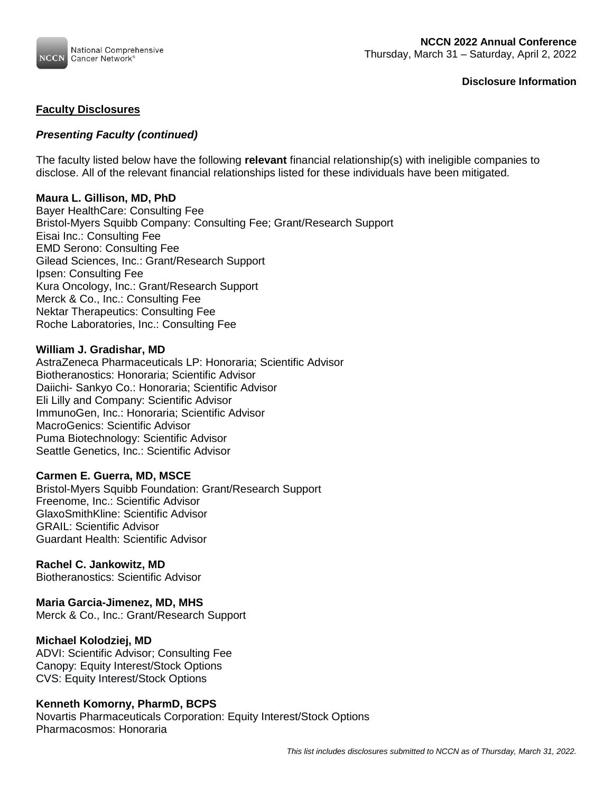

## **Faculty Disclosures**

## *Presenting Faculty (continued)*

The faculty listed below have the following **relevant** financial relationship(s) with ineligible companies to disclose. All of the relevant financial relationships listed for these individuals have been mitigated.

### **Maura L. Gillison, MD, PhD**

Bayer HealthCare: Consulting Fee Bristol-Myers Squibb Company: Consulting Fee; Grant/Research Support Eisai Inc.: Consulting Fee EMD Serono: Consulting Fee Gilead Sciences, Inc.: Grant/Research Support Ipsen: Consulting Fee Kura Oncology, Inc.: Grant/Research Support Merck & Co., Inc.: Consulting Fee Nektar Therapeutics: Consulting Fee Roche Laboratories, Inc.: Consulting Fee

### **William J. Gradishar, MD**

AstraZeneca Pharmaceuticals LP: Honoraria; Scientific Advisor Biotheranostics: Honoraria; Scientific Advisor Daiichi- Sankyo Co.: Honoraria; Scientific Advisor Eli Lilly and Company: Scientific Advisor ImmunoGen, Inc.: Honoraria; Scientific Advisor MacroGenics: Scientific Advisor Puma Biotechnology: Scientific Advisor Seattle Genetics, Inc.: Scientific Advisor

### **Carmen E. Guerra, MD, MSCE**

Bristol-Myers Squibb Foundation: Grant/Research Support Freenome, Inc.: Scientific Advisor GlaxoSmithKline: Scientific Advisor GRAIL: Scientific Advisor Guardant Health: Scientific Advisor

### **Rachel C. Jankowitz, MD**

Biotheranostics: Scientific Advisor

### **Maria Garcia-Jimenez, MD, MHS**

Merck & Co., Inc.: Grant/Research Support

### **Michael Kolodziej, MD**

ADVI: Scientific Advisor; Consulting Fee Canopy: Equity Interest/Stock Options CVS: Equity Interest/Stock Options

### **Kenneth Komorny, PharmD, BCPS**

Novartis Pharmaceuticals Corporation: Equity Interest/Stock Options Pharmacosmos: Honoraria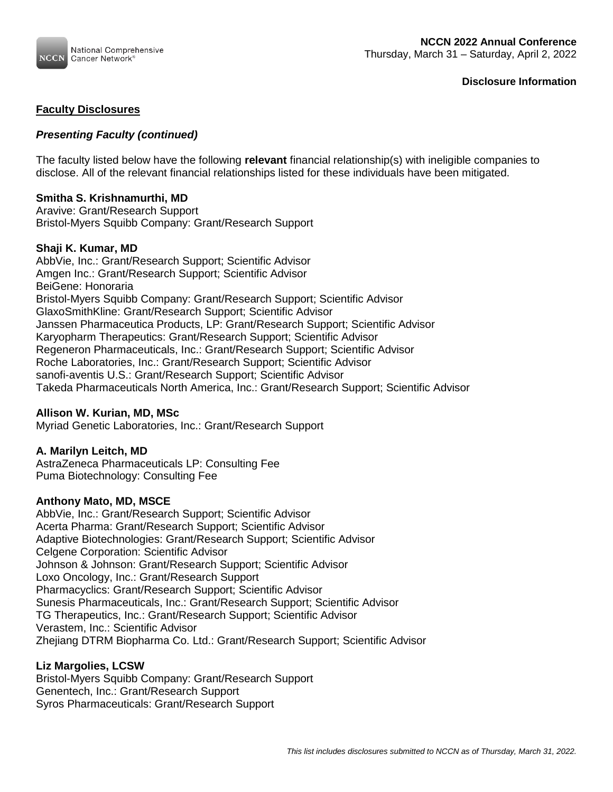

## **Faculty Disclosures**

## *Presenting Faculty (continued)*

The faculty listed below have the following **relevant** financial relationship(s) with ineligible companies to disclose. All of the relevant financial relationships listed for these individuals have been mitigated.

### **Smitha S. Krishnamurthi, MD**

Aravive: Grant/Research Support Bristol-Myers Squibb Company: Grant/Research Support

### **Shaji K. Kumar, MD**

AbbVie, Inc.: Grant/Research Support; Scientific Advisor Amgen Inc.: Grant/Research Support; Scientific Advisor BeiGene: Honoraria Bristol-Myers Squibb Company: Grant/Research Support; Scientific Advisor GlaxoSmithKline: Grant/Research Support; Scientific Advisor Janssen Pharmaceutica Products, LP: Grant/Research Support; Scientific Advisor Karyopharm Therapeutics: Grant/Research Support; Scientific Advisor Regeneron Pharmaceuticals, Inc.: Grant/Research Support; Scientific Advisor Roche Laboratories, Inc.: Grant/Research Support; Scientific Advisor sanofi-aventis U.S.: Grant/Research Support; Scientific Advisor Takeda Pharmaceuticals North America, Inc.: Grant/Research Support; Scientific Advisor

### **Allison W. Kurian, MD, MSc**

Myriad Genetic Laboratories, Inc.: Grant/Research Support

#### **A. Marilyn Leitch, MD**

AstraZeneca Pharmaceuticals LP: Consulting Fee Puma Biotechnology: Consulting Fee

### **Anthony Mato, MD, MSCE**

AbbVie, Inc.: Grant/Research Support; Scientific Advisor Acerta Pharma: Grant/Research Support; Scientific Advisor Adaptive Biotechnologies: Grant/Research Support; Scientific Advisor Celgene Corporation: Scientific Advisor Johnson & Johnson: Grant/Research Support; Scientific Advisor Loxo Oncology, Inc.: Grant/Research Support Pharmacyclics: Grant/Research Support; Scientific Advisor Sunesis Pharmaceuticals, Inc.: Grant/Research Support; Scientific Advisor TG Therapeutics, Inc.: Grant/Research Support; Scientific Advisor Verastem, Inc.: Scientific Advisor Zhejiang DTRM Biopharma Co. Ltd.: Grant/Research Support; Scientific Advisor

### **Liz Margolies, LCSW**

Bristol-Myers Squibb Company: Grant/Research Support Genentech, Inc.: Grant/Research Support Syros Pharmaceuticals: Grant/Research Support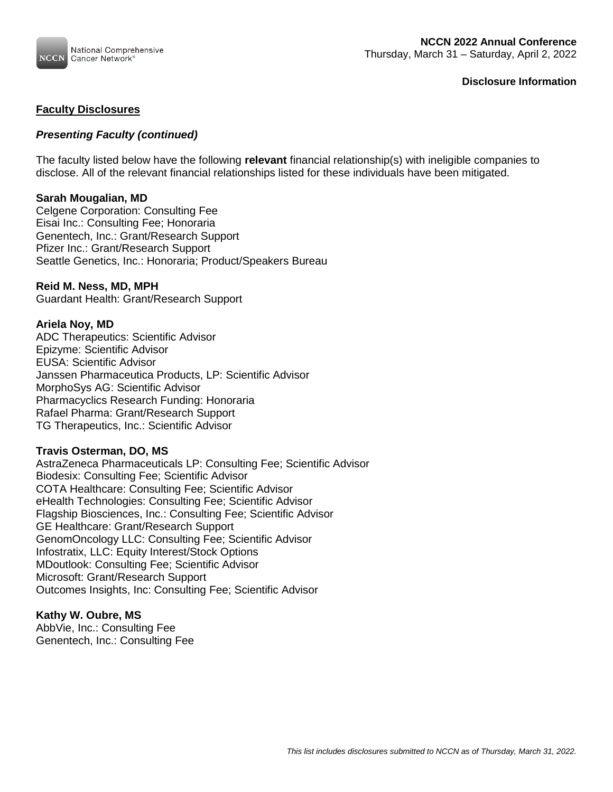

### **Faculty Disclosures**

## *Presenting Faculty (continued)*

The faculty listed below have the following **relevant** financial relationship(s) with ineligible companies to disclose. All of the relevant financial relationships listed for these individuals have been mitigated.

#### **Sarah Mougalian, MD**

Celgene Corporation: Consulting Fee Eisai Inc.: Consulting Fee; Honoraria Genentech, Inc.: Grant/Research Support Pfizer Inc.: Grant/Research Support Seattle Genetics, Inc.: Honoraria; Product/Speakers Bureau

### **Reid M. Ness, MD, MPH**

Guardant Health: Grant/Research Support

#### **Ariela Noy, MD**

ADC Therapeutics: Scientific Advisor Epizyme: Scientific Advisor EUSA: Scientific Advisor Janssen Pharmaceutica Products, LP: Scientific Advisor MorphoSys AG: Scientific Advisor Pharmacyclics Research Funding: Honoraria Rafael Pharma: Grant/Research Support TG Therapeutics, Inc.: Scientific Advisor

#### **Travis Osterman, DO, MS**

AstraZeneca Pharmaceuticals LP: Consulting Fee; Scientific Advisor Biodesix: Consulting Fee; Scientific Advisor COTA Healthcare: Consulting Fee; Scientific Advisor eHealth Technologies: Consulting Fee; Scientific Advisor Flagship Biosciences, Inc.: Consulting Fee; Scientific Advisor GE Healthcare: Grant/Research Support GenomOncology LLC: Consulting Fee; Scientific Advisor Infostratix, LLC: Equity Interest/Stock Options MDoutlook: Consulting Fee; Scientific Advisor Microsoft: Grant/Research Support Outcomes Insights, Inc: Consulting Fee; Scientific Advisor

### **Kathy W. Oubre, MS**

AbbVie, Inc.: Consulting Fee Genentech, Inc.: Consulting Fee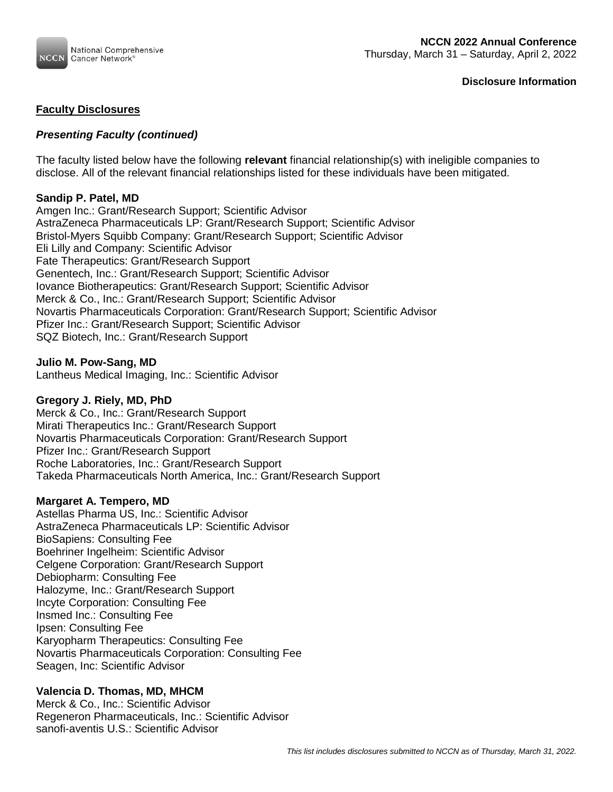

## **Faculty Disclosures**

# *Presenting Faculty (continued)*

The faculty listed below have the following **relevant** financial relationship(s) with ineligible companies to disclose. All of the relevant financial relationships listed for these individuals have been mitigated.

### **Sandip P. Patel, MD**

Amgen Inc.: Grant/Research Support; Scientific Advisor AstraZeneca Pharmaceuticals LP: Grant/Research Support; Scientific Advisor Bristol-Myers Squibb Company: Grant/Research Support; Scientific Advisor Eli Lilly and Company: Scientific Advisor Fate Therapeutics: Grant/Research Support Genentech, Inc.: Grant/Research Support; Scientific Advisor Iovance Biotherapeutics: Grant/Research Support; Scientific Advisor Merck & Co., Inc.: Grant/Research Support; Scientific Advisor Novartis Pharmaceuticals Corporation: Grant/Research Support; Scientific Advisor Pfizer Inc.: Grant/Research Support; Scientific Advisor SQZ Biotech, Inc.: Grant/Research Support

**Julio M. Pow-Sang, MD** Lantheus Medical Imaging, Inc.: Scientific Advisor

### **Gregory J. Riely, MD, PhD**

Merck & Co., Inc.: Grant/Research Support Mirati Therapeutics Inc.: Grant/Research Support Novartis Pharmaceuticals Corporation: Grant/Research Support Pfizer Inc.: Grant/Research Support Roche Laboratories, Inc.: Grant/Research Support Takeda Pharmaceuticals North America, Inc.: Grant/Research Support

### **Margaret A. Tempero, MD**

Astellas Pharma US, Inc.: Scientific Advisor AstraZeneca Pharmaceuticals LP: Scientific Advisor BioSapiens: Consulting Fee Boehriner Ingelheim: Scientific Advisor Celgene Corporation: Grant/Research Support Debiopharm: Consulting Fee Halozyme, Inc.: Grant/Research Support Incyte Corporation: Consulting Fee Insmed Inc.: Consulting Fee Ipsen: Consulting Fee Karyopharm Therapeutics: Consulting Fee Novartis Pharmaceuticals Corporation: Consulting Fee Seagen, Inc: Scientific Advisor

### **Valencia D. Thomas, MD, MHCM**

Merck & Co., Inc.: Scientific Advisor Regeneron Pharmaceuticals, Inc.: Scientific Advisor sanofi-aventis U.S.: Scientific Advisor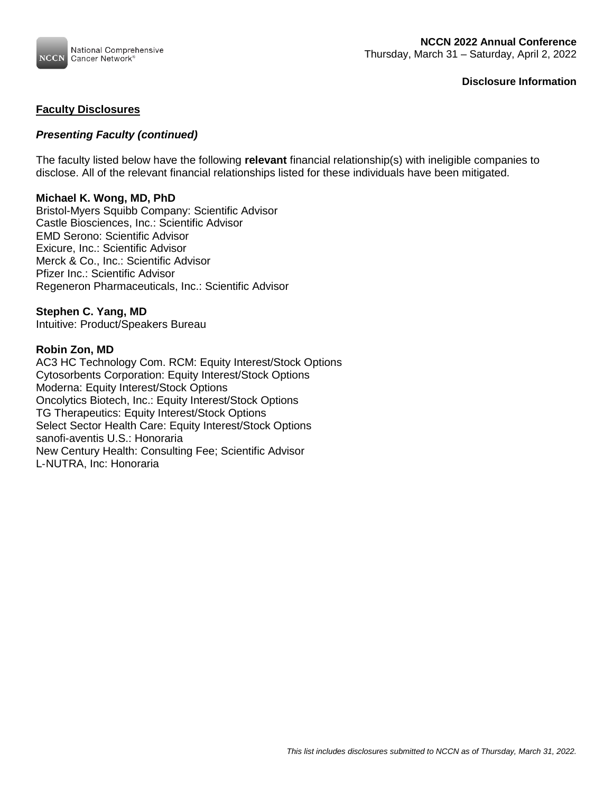

## **Faculty Disclosures**

## *Presenting Faculty (continued)*

The faculty listed below have the following **relevant** financial relationship(s) with ineligible companies to disclose. All of the relevant financial relationships listed for these individuals have been mitigated.

### **Michael K. Wong, MD, PhD**

Bristol-Myers Squibb Company: Scientific Advisor Castle Biosciences, Inc.: Scientific Advisor EMD Serono: Scientific Advisor Exicure, Inc.: Scientific Advisor Merck & Co., Inc.: Scientific Advisor Pfizer Inc.: Scientific Advisor Regeneron Pharmaceuticals, Inc.: Scientific Advisor

# **Stephen C. Yang, MD**

Intuitive: Product/Speakers Bureau

#### **Robin Zon, MD**

AC3 HC Technology Com. RCM: Equity Interest/Stock Options Cytosorbents Corporation: Equity Interest/Stock Options Moderna: Equity Interest/Stock Options Oncolytics Biotech, Inc.: Equity Interest/Stock Options TG Therapeutics: Equity Interest/Stock Options Select Sector Health Care: Equity Interest/Stock Options sanofi-aventis U.S.: Honoraria New Century Health: Consulting Fee; Scientific Advisor L‐NUTRA, Inc: Honoraria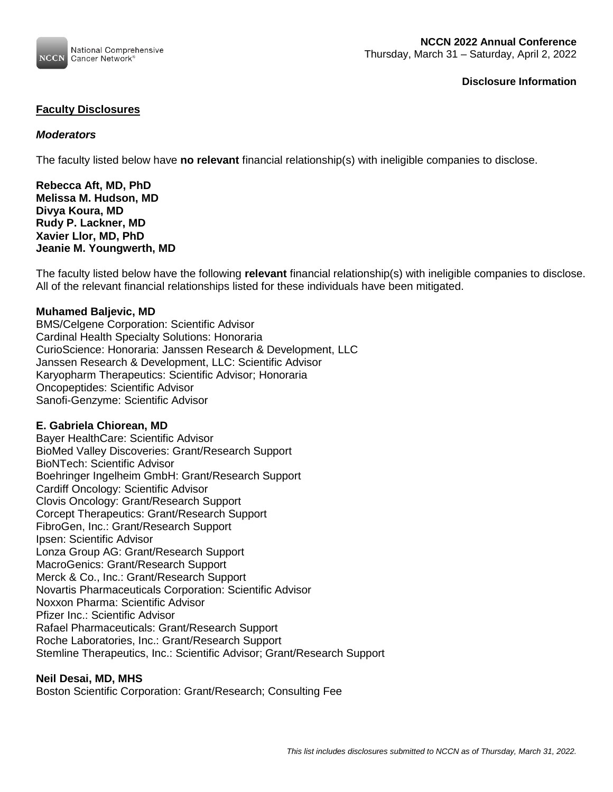

## **Faculty Disclosures**

## *Moderators*

The faculty listed below have **no relevant** financial relationship(s) with ineligible companies to disclose.

**Rebecca Aft, MD, PhD Melissa M. Hudson, MD Divya Koura, MD Rudy P. Lackner, MD Xavier Llor, MD, PhD Jeanie M. Youngwerth, MD**

The faculty listed below have the following **relevant** financial relationship(s) with ineligible companies to disclose. All of the relevant financial relationships listed for these individuals have been mitigated.

### **Muhamed Baljevic, MD**

BMS/Celgene Corporation: Scientific Advisor Cardinal Health Specialty Solutions: Honoraria CurioScience: Honoraria: Janssen Research & Development, LLC Janssen Research & Development, LLC: Scientific Advisor Karyopharm Therapeutics: Scientific Advisor; Honoraria Oncopeptides: Scientific Advisor Sanofi-Genzyme: Scientific Advisor

#### **E. Gabriela Chiorean, MD**

Bayer HealthCare: Scientific Advisor BioMed Valley Discoveries: Grant/Research Support BioNTech: Scientific Advisor Boehringer Ingelheim GmbH: Grant/Research Support Cardiff Oncology: Scientific Advisor Clovis Oncology: Grant/Research Support Corcept Therapeutics: Grant/Research Support FibroGen, Inc.: Grant/Research Support Ipsen: Scientific Advisor Lonza Group AG: Grant/Research Support MacroGenics: Grant/Research Support Merck & Co., Inc.: Grant/Research Support Novartis Pharmaceuticals Corporation: Scientific Advisor Noxxon Pharma: Scientific Advisor Pfizer Inc.: Scientific Advisor Rafael Pharmaceuticals: Grant/Research Support Roche Laboratories, Inc.: Grant/Research Support Stemline Therapeutics, Inc.: Scientific Advisor; Grant/Research Support

### **Neil Desai, MD, MHS**

Boston Scientific Corporation: Grant/Research; Consulting Fee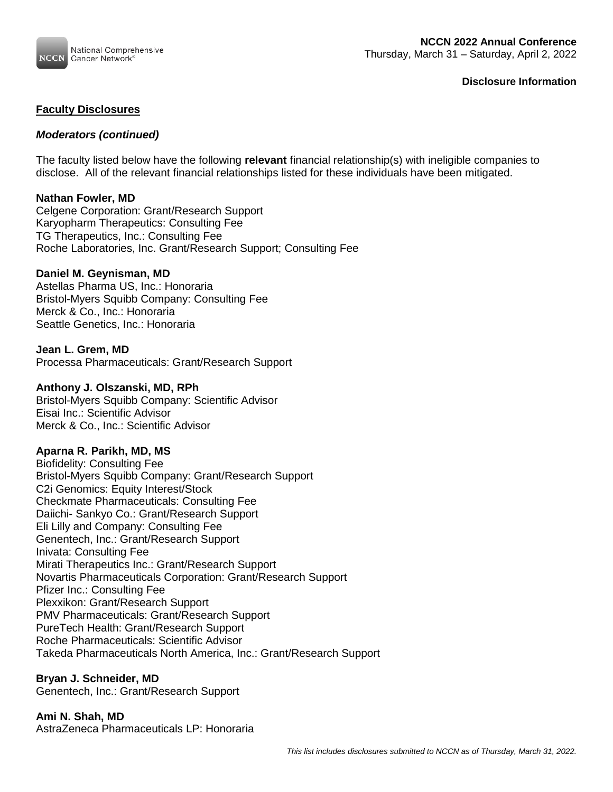

## **Faculty Disclosures**

## *Moderators (continued)*

The faculty listed below have the following **relevant** financial relationship(s) with ineligible companies to disclose. All of the relevant financial relationships listed for these individuals have been mitigated.

### **Nathan Fowler, MD**

Celgene Corporation: Grant/Research Support Karyopharm Therapeutics: Consulting Fee TG Therapeutics, Inc.: Consulting Fee Roche Laboratories, Inc. Grant/Research Support; Consulting Fee

### **Daniel M. Geynisman, MD**

Astellas Pharma US, Inc.: Honoraria Bristol-Myers Squibb Company: Consulting Fee Merck & Co., Inc.: Honoraria Seattle Genetics, Inc.: Honoraria

### **Jean L. Grem, MD**

Processa Pharmaceuticals: Grant/Research Support

#### **Anthony J. Olszanski, MD, RPh**

Bristol-Myers Squibb Company: Scientific Advisor Eisai Inc.: Scientific Advisor Merck & Co., Inc.: Scientific Advisor

### **Aparna R. Parikh, MD, MS**

Biofidelity: Consulting Fee Bristol-Myers Squibb Company: Grant/Research Support C2i Genomics: Equity Interest/Stock Checkmate Pharmaceuticals: Consulting Fee Daiichi- Sankyo Co.: Grant/Research Support Eli Lilly and Company: Consulting Fee Genentech, Inc.: Grant/Research Support Inivata: Consulting Fee Mirati Therapeutics Inc.: Grant/Research Support Novartis Pharmaceuticals Corporation: Grant/Research Support Pfizer Inc.: Consulting Fee Plexxikon: Grant/Research Support PMV Pharmaceuticals: Grant/Research Support PureTech Health: Grant/Research Support Roche Pharmaceuticals: Scientific Advisor Takeda Pharmaceuticals North America, Inc.: Grant/Research Support

### **Bryan J. Schneider, MD**

Genentech, Inc.: Grant/Research Support

### **Ami N. Shah, MD**

AstraZeneca Pharmaceuticals LP: Honoraria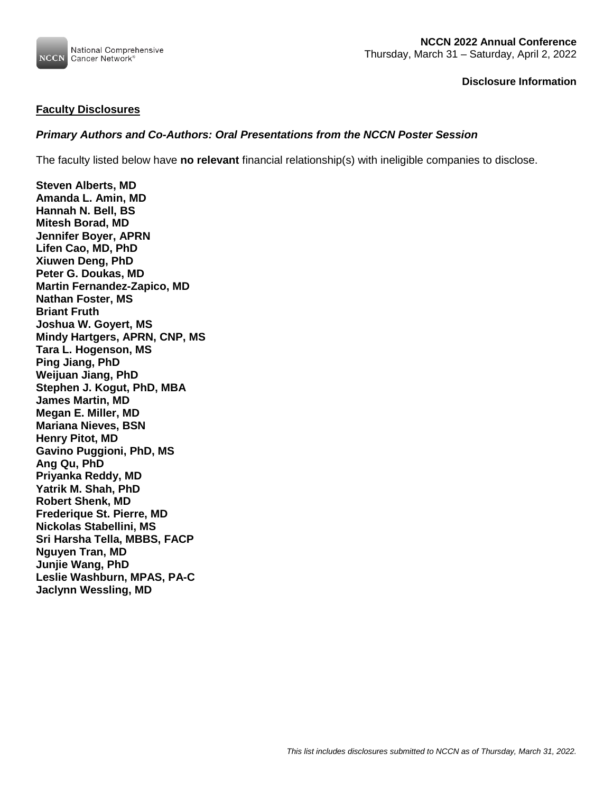

### **Faculty Disclosures**

# *Primary Authors and Co-Authors: Oral Presentations from the NCCN Poster Session*

The faculty listed below have **no relevant** financial relationship(s) with ineligible companies to disclose.

**Steven Alberts, MD Amanda L. Amin, MD Hannah N. Bell, BS Mitesh Borad, MD Jennifer Boyer, APRN Lifen Cao, MD, PhD Xiuwen Deng, PhD Peter G. Doukas, MD Martin Fernandez-Zapico, MD Nathan Foster, MS Briant Fruth Joshua W. Goyert, MS Mindy Hartgers, APRN, CNP, MS Tara L. Hogenson, MS Ping Jiang, PhD Weijuan Jiang, PhD Stephen J. Kogut, PhD, MBA James Martin, MD Megan E. Miller, MD Mariana Nieves, BSN Henry Pitot, MD Gavino Puggioni, PhD, MS Ang Qu, PhD Priyanka Reddy, MD Yatrik M. Shah, PhD Robert Shenk, MD Frederique St. Pierre, MD Nickolas Stabellini, MS Sri Harsha Tella, MBBS, FACP Nguyen Tran, MD Junjie Wang, PhD Leslie Washburn, MPAS, PA-C Jaclynn Wessling, MD**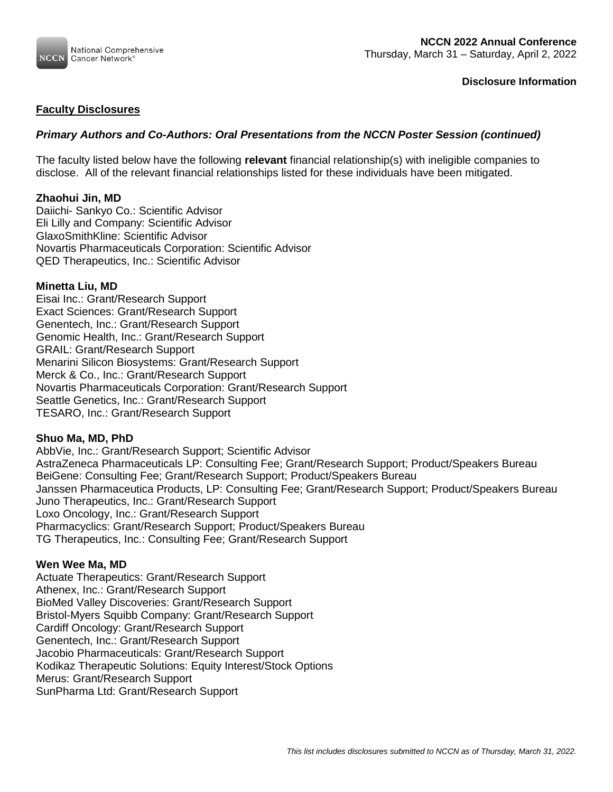

# **Faculty Disclosures**

# *Primary Authors and Co-Authors: Oral Presentations from the NCCN Poster Session (continued)*

The faculty listed below have the following **relevant** financial relationship(s) with ineligible companies to disclose. All of the relevant financial relationships listed for these individuals have been mitigated.

## **Zhaohui Jin, MD**

Daiichi- Sankyo Co.: Scientific Advisor Eli Lilly and Company: Scientific Advisor GlaxoSmithKline: Scientific Advisor Novartis Pharmaceuticals Corporation: Scientific Advisor QED Therapeutics, Inc.: Scientific Advisor

## **Minetta Liu, MD**

Eisai Inc.: Grant/Research Support Exact Sciences: Grant/Research Support Genentech, Inc.: Grant/Research Support Genomic Health, Inc.: Grant/Research Support GRAIL: Grant/Research Support Menarini Silicon Biosystems: Grant/Research Support Merck & Co., Inc.: Grant/Research Support Novartis Pharmaceuticals Corporation: Grant/Research Support Seattle Genetics, Inc.: Grant/Research Support TESARO, Inc.: Grant/Research Support

### **Shuo Ma, MD, PhD**

AbbVie, Inc.: Grant/Research Support; Scientific Advisor AstraZeneca Pharmaceuticals LP: Consulting Fee; Grant/Research Support; Product/Speakers Bureau BeiGene: Consulting Fee; Grant/Research Support; Product/Speakers Bureau Janssen Pharmaceutica Products, LP: Consulting Fee; Grant/Research Support; Product/Speakers Bureau Juno Therapeutics, Inc.: Grant/Research Support Loxo Oncology, Inc.: Grant/Research Support Pharmacyclics: Grant/Research Support; Product/Speakers Bureau TG Therapeutics, Inc.: Consulting Fee; Grant/Research Support

### **Wen Wee Ma, MD**

Actuate Therapeutics: Grant/Research Support Athenex, Inc.: Grant/Research Support BioMed Valley Discoveries: Grant/Research Support Bristol-Myers Squibb Company: Grant/Research Support Cardiff Oncology: Grant/Research Support Genentech, Inc.: Grant/Research Support Jacobio Pharmaceuticals: Grant/Research Support Kodikaz Therapeutic Solutions: Equity Interest/Stock Options Merus: Grant/Research Support SunPharma Ltd: Grant/Research Support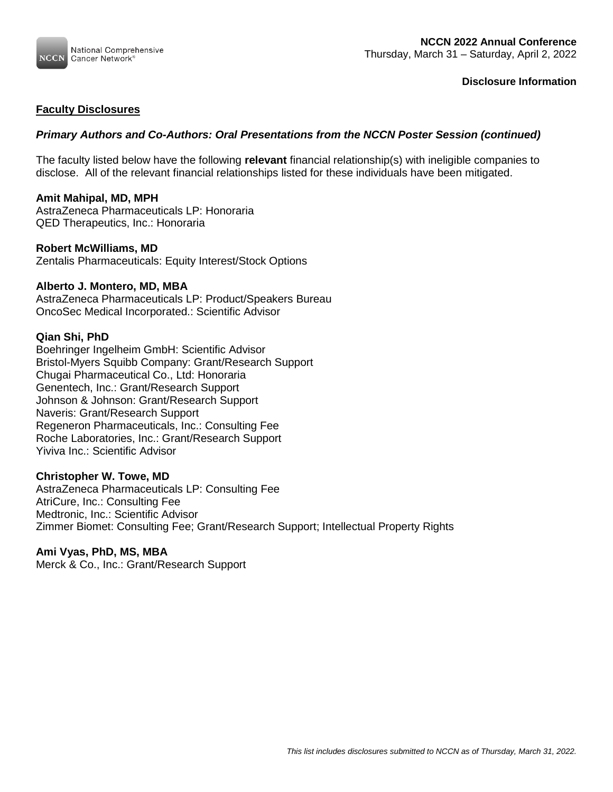

## **Faculty Disclosures**

# *Primary Authors and Co-Authors: Oral Presentations from the NCCN Poster Session (continued)*

The faculty listed below have the following **relevant** financial relationship(s) with ineligible companies to disclose. All of the relevant financial relationships listed for these individuals have been mitigated.

### **Amit Mahipal, MD, MPH**

AstraZeneca Pharmaceuticals LP: Honoraria QED Therapeutics, Inc.: Honoraria

### **Robert McWilliams, MD**

Zentalis Pharmaceuticals: Equity Interest/Stock Options

### **Alberto J. Montero, MD, MBA**

AstraZeneca Pharmaceuticals LP: Product/Speakers Bureau OncoSec Medical Incorporated.: Scientific Advisor

### **Qian Shi, PhD**

Boehringer Ingelheim GmbH: Scientific Advisor Bristol-Myers Squibb Company: Grant/Research Support Chugai Pharmaceutical Co., Ltd: Honoraria Genentech, Inc.: Grant/Research Support Johnson & Johnson: Grant/Research Support Naveris: Grant/Research Support Regeneron Pharmaceuticals, Inc.: Consulting Fee Roche Laboratories, Inc.: Grant/Research Support Yiviva Inc.: Scientific Advisor

### **Christopher W. Towe, MD**

AstraZeneca Pharmaceuticals LP: Consulting Fee AtriCure, Inc.: Consulting Fee Medtronic, Inc.: Scientific Advisor Zimmer Biomet: Consulting Fee; Grant/Research Support; Intellectual Property Rights

### **Ami Vyas, PhD, MS, MBA**

Merck & Co., Inc.: Grant/Research Support